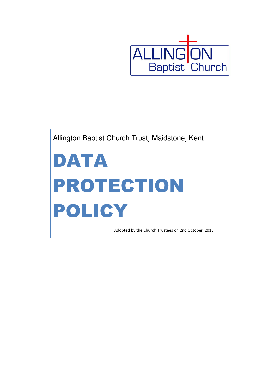

Allington Baptist Church Trust, Maidstone, Kent

# DATA PROTECTION POLICY

Adopted by the Church Trustees on 2nd October 2018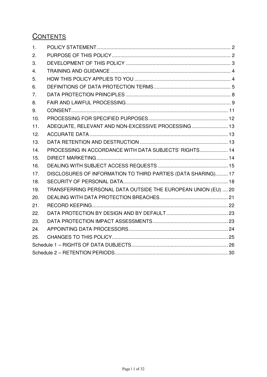# **CONTENTS**

| 1.  |                                                                |  |
|-----|----------------------------------------------------------------|--|
| 2.  |                                                                |  |
| 3.  |                                                                |  |
| 4.  |                                                                |  |
| 5.  |                                                                |  |
| 6.  |                                                                |  |
| 7.  |                                                                |  |
| 8.  |                                                                |  |
| 9.  |                                                                |  |
| 10. |                                                                |  |
| 11. | ADEQUATE, RELEVANT AND NON-EXCESSIVE PROCESSING 13             |  |
| 12. |                                                                |  |
| 13. |                                                                |  |
| 14. | PROCESSING IN ACCORDANCE WITH DATA SUBJECTS' RIGHTS 14         |  |
| 15. |                                                                |  |
| 16. |                                                                |  |
| 17. | DISCLOSURES OF INFORMATION TO THIRD PARTIES (DATA SHARING) 17  |  |
| 18. |                                                                |  |
| 19. | TRANSFERRING PERSONAL DATA OUTSIDE THE EUROPEAN UNION (EU)  20 |  |
| 20. |                                                                |  |
| 21. |                                                                |  |
| 22. |                                                                |  |
| 23. |                                                                |  |
| 24. |                                                                |  |
| 25. |                                                                |  |
|     |                                                                |  |
|     |                                                                |  |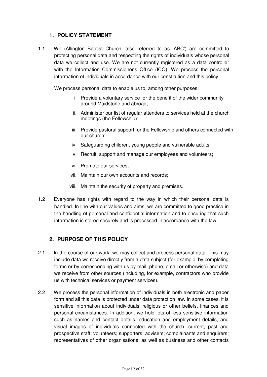#### **1. POLICY STATEMENT**

1.1 We (Allington Baptist Church, also referred to as 'ABC') are committed to protecting personal data and respecting the rights of individuals whose personal data we collect and use. We are not currently registered as a data controller with the Information Commissioner's Office (ICO). We process the personal information of individuals in accordance with our constitution and this policy.

We process personal data to enable us to, among other purposes:

- i. Provide a voluntary service for the benefit of the wider community around Maidstone and abroad;
- ii. Administer our list of regular attenders to services held at the church meetings (the Fellowship);
- iii. Provide pastoral support for the Fellowship and others connected with our church;
- iv. Safeguarding children, young people and vulnerable adults
- v. Recruit, support and manage our employees and volunteers;
- vi. Promote our services;
- vii. Maintain our own accounts and records;
- viii. Maintain the security of property and premises.
- 1.2 Everyone has rights with regard to the way in which their personal data is handled. In line with our values and aims, we are committed to good practice in the handling of personal and confidential information and to ensuring that such information is stored securely and is processed in accordance with the law.

#### **2. PURPOSE OF THIS POLICY**

- 2.1 In the course of our work, we may collect and process personal data. This may include data we receive directly from a data subject (for example, by completing forms or by corresponding with us by mail, phone, email or otherwise) and data we receive from other sources (including, for example, contractors who provide us with technical services or payment services).
- 2.2 We process the personal information of individuals in both electronic and paper form and all this data is protected under data protection law. In some cases, it is sensitive information about individuals' religious or other beliefs, finances and personal circumstances. In addition, we hold lots of less sensitive information such as names and contact details, education and employment details, and visual images of individuals connected with the church; current, past and prospective staff; volunteers; supporters; advisers; complainants and enquirers; representatives of other organisations; as well as business and other contacts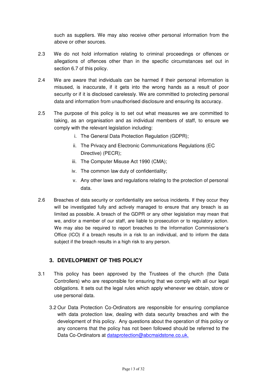such as suppliers. We may also receive other personal information from the above or other sources.

- 2.3 We do not hold information relating to criminal proceedings or offences or allegations of offences other than in the specific circumstances set out in section 6.7 of this policy.
- 2.4 We are aware that individuals can be harmed if their personal information is misused, is inaccurate, if it gets into the wrong hands as a result of poor security or if it is disclosed carelessly. We are committed to protecting personal data and information from unauthorised disclosure and ensuring its accuracy.
- 2.5 The purpose of this policy is to set out what measures we are committed to taking, as an organisation and as individual members of staff, to ensure we comply with the relevant legislation including:
	- i. The General Data Protection Regulation (GDPR);
	- ii. The Privacy and Electronic Communications Regulations (EC Directive) (PECR);
	- iii. The Computer Misuse Act 1990 (CMA);
	- iv. The common law duty of confidentiality;
	- v. Any other laws and regulations relating to the protection of personal data.
- 2.6 Breaches of data security or confidentiality are serious incidents. If they occur they will be investigated fully and actively managed to ensure that any breach is as limited as possible. A breach of the GDPR or any other legislation may mean that we, and/or a member of our staff, are liable to prosecution or to regulatory action. We may also be required to report breaches to the Information Commissioner's Office (ICO) if a breach results in a risk to an individual, and to inform the data subject if the breach results in a high risk to any person.

# **3. DEVELOPMENT OF THIS POLICY**

- 3.1 This policy has been approved by the Trustees of the church (the Data Controllers) who are responsible for ensuring that we comply with all our legal obligations. It sets out the legal rules which apply whenever we obtain, store or use personal data.
	- 3.2 Our Data Protection Co-Ordinators are responsible for ensuring compliance with data protection law, dealing with data security breaches and with the development of this policy. Any questions about the operation of this policy or any concerns that the policy has not been followed should be referred to the Data Co-Ordinators at dataprotection@abcmaidstone.co.uk.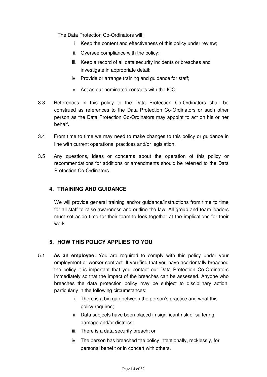The Data Protection Co-Ordinators will:

- i. Keep the content and effectiveness of this policy under review;
- ii. Oversee compliance with the policy;
- iii. Keep a record of all data security incidents or breaches and investigate in appropriate detail;
- iv. Provide or arrange training and guidance for staff;
- v. Act as our nominated contacts with the ICO.
- 3.3 References in this policy to the Data Protection Co-Ordinators shall be construed as references to the Data Protection Co-Ordinators or such other person as the Data Protection Co-Ordinators may appoint to act on his or her behalf.
- 3.4 From time to time we may need to make changes to this policy or guidance in line with current operational practices and/or legislation.
- 3.5 Any questions, ideas or concerns about the operation of this policy or recommendations for additions or amendments should be referred to the Data Protection Co-Ordinators.

#### **4. TRAINING AND GUIDANCE**

We will provide general training and/or guidance/instructions from time to time for all staff to raise awareness and outline the law. All group and team leaders must set aside time for their team to look together at the implications for their work.

#### **5. HOW THIS POLICY APPLIES TO YOU**

- 5.1 **As an employee:** You are required to comply with this policy under your employment or worker contract. If you find that you have accidentally breached the policy it is important that you contact our Data Protection Co-Ordinators immediately so that the impact of the breaches can be assessed. Anyone who breaches the data protection policy may be subject to disciplinary action, particularly in the following circumstances:
	- i. There is a big gap between the person's practice and what this policy requires;
	- ii. Data subjects have been placed in significant risk of suffering damage and/or distress;
	- iii. There is a data security breach; or
	- iv. The person has breached the policy intentionally, recklessly, for personal benefit or in concert with others.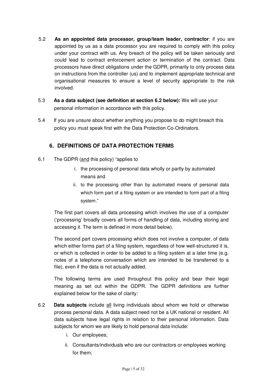- 5.2 **As an appointed data processor, group/team leader, contractor**: if you are appointed by us as a data processor you are required to comply with this policy under your contract with us. Any breach of the policy will be taken seriously and could lead to contract enforcement action or termination of the contract. Data processors have direct obligations under the GDPR, primarily to only process data on instructions from the controller (us) and to implement appropriate technical and organisational measures to ensure a level of security appropriate to the risk involved.
- 5.3 **As a data subject (see definition at section 6.2 below):** We will use your personal information in accordance with this policy.
- 5.4 If you are unsure about whether anything you propose to do might breach this policy you must speak first with the Data Protection Co-Ordinators.

# **6. DEFINITIONS OF DATA PROTECTION TERMS**

- 6.1 The GDPR (and this policy) "applies to
	- i. the processing of personal data wholly or partly by automated means and
	- ii. to the processing other than by automated means of personal data which form part of a filing system or are intended to form part of a filing system."

The first part covers all data processing which involves the use of a computer ('processing' broadly covers all forms of handling of data, including storing and accessing it. The term is defined in more detail below).

The second part covers processing which does not involve a computer, of data which either forms part of a filing system, regardless of how well-structured it is, or which is collected in order to be added to a filing system at a later time (e.g. notes of a telephone conversation which are intended to be transferred to a file), even if the data is not actually added.

The following terms are used throughout this policy and bear their legal meaning as set out within the GDPR. The GDPR definitions are further explained below for the sake of clarity:

- 6.2 **Data subjects** include all living individuals about whom we hold or otherwise process personal data. A data subject need not be a UK national or resident. All data subjects have legal rights in relation to their personal information. Data subjects for whom we are likely to hold personal data include:
	- i. Our employees;
	- ii. Consultants/individuals who are our contractors or employees working for them;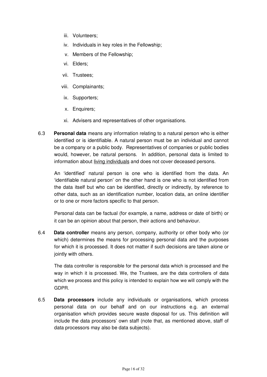- iii. Volunteers;
- iv. Individuals in key roles in the Fellowship;
- v. Members of the Fellowship;
- vi. Elders;
- vii. Trustees;
- viii. Complainants;
- ix. Supporters;
- x. Enquirers;
- xi. Advisers and representatives of other organisations.
- 6.3 **Personal data** means any information relating to a natural person who is either identified or is identifiable. A natural person must be an individual and cannot be a company or a public body. Representatives of companies or public bodies would, however, be natural persons. In addition, personal data is limited to information about living individuals and does not cover deceased persons.

An 'identified' natural person is one who is identified from the data. An 'identifiable natural person' on the other hand is one who is not identified from the data itself but who can be identified, directly or indirectly, by reference to other data, such as an identification number, location data, an online identifier or to one or more factors specific to that person.

Personal data can be factual (for example, a name, address or date of birth) or it can be an opinion about that person, their actions and behaviour.

6.4 **Data controller** means any person, company, authority or other body who (or which) determines the means for processing personal data and the purposes for which it is processed. It does not matter if such decisions are taken alone or jointly with others.

The data controller is responsible for the personal data which is processed and the way in which it is processed. We, the Trustees, are the data controllers of data which we process and this policy is intended to explain how we will comply with the GDPR.

6.5 **Data processors** include any individuals or organisations, which process personal data on our behalf and on our instructions e.g. an external organisation which provides secure waste disposal for us. This definition will include the data processors' own staff (note that, as mentioned above, staff of data processors may also be data subjects).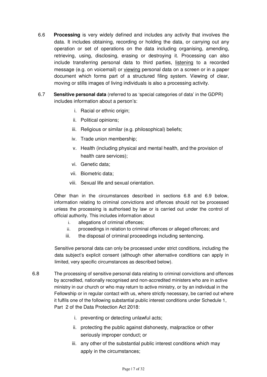- 6.6 **Processing** is very widely defined and includes any activity that involves the data. It includes obtaining, recording or holding the data, or carrying out any operation or set of operations on the data including organising, amending, retrieving, using, disclosing, erasing or destroying it. Processing can also include transferring personal data to third parties, listening to a recorded message (e.g. on voicemail) or viewing personal data on a screen or in a paper document which forms part of a structured filing system. Viewing of clear, moving or stills images of living individuals is also a processing activity.
- 6.7 **Sensitive personal data** (referred to as 'special categories of data' in the GDPR) includes information about a person's:
	- i. Racial or ethnic origin;
	- ii. Political opinions;
	- iii. Religious or similar (e.g. philosophical) beliefs;
	- iv. Trade union membership;
	- v. Health (including physical and mental health, and the provision of health care services);
	- vi. Genetic data;
	- vii. Biometric data;
	- viii. Sexual life and sexual orientation.

Other than in the circumstances described in sections 6.8 and 6.9 below, information relating to criminal convictions and offences should not be processed unless the processing is authorised by law or is carried out under the control of official authority. This includes information about

- i. allegations of criminal offences;
- ii. proceedings in relation to criminal offences or alleged offences; and
- iii. the disposal of criminal proceedings including sentencing.

Sensitive personal data can only be processed under strict conditions, including the data subject's explicit consent (although other alternative conditions can apply in limited, very specific circumstances as described below).

- 6.8 The processing of sensitive personal data relating to criminal convictions and offences by accredited, nationally recognised and non-accredited ministers who are in active ministry in our church or who may return to active ministry, or by an individual in the Fellowship or in regular contact with us, where strictly necessary, be carried out where it fulfils one of the following substantial public interest conditions under Schedule 1, Part 2 of the Data Protection Act 2018:
	- i. preventing or detecting unlawful acts;
	- ii. protecting the public against dishonesty, malpractice or other seriously improper conduct; or
	- iii. any other of the substantial public interest conditions which may apply in the circumstances;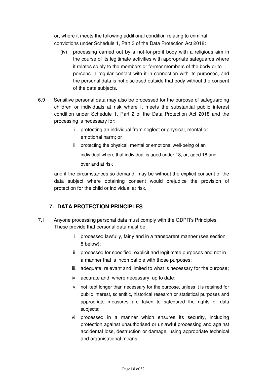or, where it meets the following additional condition relating to criminal convictions under Schedule 1, Part 3 of the Data Protection Act 2018:

- (iv) processing carried out by a not-for-profit body with a religious aim in the course of its legitimate activities with appropriate safeguards where it relates solely to the members or former members of the body or to persons in regular contact with it in connection with its purposes, and the personal data is not disclosed outside that body without the consent of the data subjects.
- 6.9 Sensitive personal data may also be processed for the purpose of safeguarding children or individuals at risk where it meets the substantial public interest condition under Schedule 1, Part 2 of the Data Protection Act 2018 and the processing is necessary for:
	- i. protecting an individual from neglect or physical, mental or emotional harm; or
	- ii. protecting the physical, mental or emotional well-being of an individual where that individual is aged under 18, or, aged 18 and over and at risk

and if the circumstances so demand, may be without the explicit consent of the data subject where obtaining consent would prejudice the provision of protection for the child or individual at risk.

# **7. DATA PROTECTION PRINCIPLES**

- 7.1 Anyone processing personal data must comply with the GDPR's Principles. These provide that personal data must be:
	- i. processed lawfully, fairly and in a transparent manner (see section 8 below);
	- ii. processed for specified, explicit and legitimate purposes and not in a manner that is incompatible with those purposes;
	- iii. adequate, relevant and limited to what is necessary for the purpose;
	- iv. accurate and, where necessary, up to date;
	- v. not kept longer than necessary for the purpose, unless it is retained for public interest, scientific, historical research or statistical purposes and appropriate measures are taken to safeguard the rights of data subjects;
	- vi. processed in a manner which ensures its security, including protection against unauthorised or unlawful processing and against accidental loss, destruction or damage, using appropriate technical and organisational means.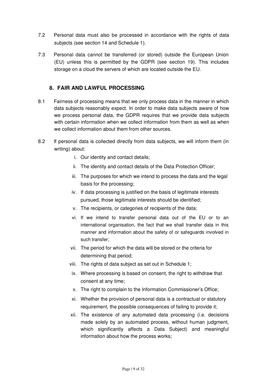- 7.2 Personal data must also be processed in accordance with the rights of data subjects (see section 14 and Schedule 1).
- 7.3 Personal data cannot be transferred (or stored) outside the European Union (EU) unless this is permitted by the GDPR (see section 19). This includes storage on a cloud the servers of which are located outside the EU.

#### **8. FAIR AND LAWFUL PROCESSING**

- 8.1 Fairness of processing means that we only process data in the manner in which data subjects reasonably expect. In order to make data subjects aware of how we process personal data, the GDPR requires that we provide data subjects with certain information when we collect information from them as well as when we collect information about them from other sources.
- 8.2 If personal data is collected directly from data subjects, we will inform them (in writing) about:
	- i. Our identity and contact details;
	- ii. The identity and contact details of the Data Protection Officer;
	- iii. The purposes for which we intend to process the data and the legal basis for the processing;
	- iv. If data processing is justified on the basis of legitimate interests pursued, those legitimate interests should be identified;
	- v. The recipients, or categories of recipients of the data;
	- vi. If we intend to transfer personal data out of the EU or to an international organisation, the fact that we shall transfer data in this manner and information about the safety of or safeguards involved in such transfer;
	- vii. The period for which the data will be stored or the criteria for determining that period;
	- viii. The rights of data subject as set out in Schedule 1;
	- ix. Where processing is based on consent, the right to withdraw that consent at any time;
	- x. The right to complain to the Information Commissioner's Office;
	- xi. Whether the provision of personal data is a contractual or statutory requirement, the possible consequences of failing to provide it;
	- xii. The existence of any automated data processing (i.e. decisions made solely by an automated process, without human judgment, which significantly affects a Data Subject) and meaningful information about how the process works;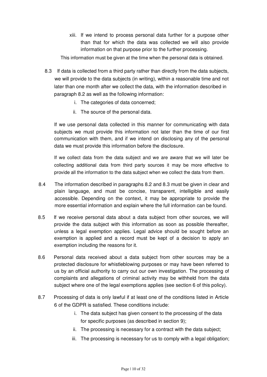xiii. If we intend to process personal data further for a purpose other than that for which the data was collected we will also provide information on that purpose prior to the further processing.

This information must be given at the time when the personal data is obtained.

- 8.3 If data is collected from a third party rather than directly from the data subjects, we will provide to the data subjects (in writing), within a reasonable time and not later than one month after we collect the data, with the information described in paragraph 8.2 as well as the following information:
	- i. The categories of data concerned;
	- ii. The source of the personal data.

If we use personal data collected in this manner for communicating with data subjects we must provide this information not later than the time of our first communication with them, and if we intend on disclosing any of the personal data we must provide this information before the disclosure.

If we collect data from the data subject and we are aware that we will later be collecting additional data from third party sources it may be more effective to provide all the information to the data subject when we collect the data from them.

- 8.4 The information described in paragraphs 8.2 and 8.3 must be given in clear and plain language, and must be concise, transparent, intelligible and easily accessible. Depending on the context, it may be appropriate to provide the more essential information and explain where the full information can be found.
- 8.5 If we receive personal data about a data subject from other sources, we will provide the data subject with this information as soon as possible thereafter, unless a legal exemption applies. Legal advice should be sought before an exemption is applied and a record must be kept of a decision to apply an exemption including the reasons for it.
- 8.6 Personal data received about a data subject from other sources may be a protected disclosure for whistleblowing purposes or may have been referred to us by an official authority to carry out our own investigation. The processing of complaints and allegations of criminal activity may be withheld from the data subject where one of the legal exemptions applies (see section 6 of this policy).
- 8.7 Processing of data is only lawful if at least one of the conditions listed in Article 6 of the GDPR is satisfied. These conditions include:
	- i. The data subject has given consent to the processing of the data for specific purposes (as described in section 9);
	- ii. The processing is necessary for a contract with the data subject;
	- iii. The processing is necessary for us to comply with a legal obligation;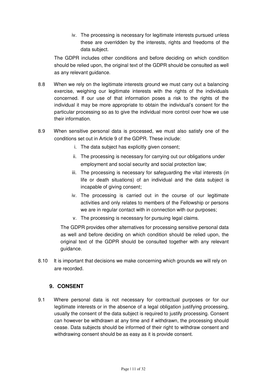iv. The processing is necessary for legitimate interests pursued unless these are overridden by the interests, rights and freedoms of the data subject.

The GDPR includes other conditions and before deciding on which condition should be relied upon, the original text of the GDPR should be consulted as well as any relevant guidance.

- 8.8 When we rely on the legitimate interests ground we must carry out a balancing exercise, weighing our legitimate interests with the rights of the individuals concerned. If our use of that information poses a risk to the rights of the individual it may be more appropriate to obtain the individual's consent for the particular processing so as to give the individual more control over how we use their information.
- 8.9 When sensitive personal data is processed, we must also satisfy one of the conditions set out in Article 9 of the GDPR. These include:
	- i. The data subject has explicitly given consent;
	- ii. The processing is necessary for carrying out our obligations under employment and social security and social protection law;
	- iii. The processing is necessary for safeguarding the vital interests (in life or death situations) of an individual and the data subject is incapable of giving consent;
	- iv. The processing is carried out in the course of our legitimate activities and only relates to members of the Fellowship or persons we are in regular contact with in connection with our purposes:
	- v. The processing is necessary for pursuing legal claims.

The GDPR provides other alternatives for processing sensitive personal data as well and before deciding on which condition should be relied upon, the original text of the GDPR should be consulted together with any relevant guidance.

8.10 It is important that decisions we make concerning which grounds we will rely on are recorded.

#### **9. CONSENT**

9.1 Where personal data is not necessary for contractual purposes or for our legitimate interests or in the absence of a legal obligation justifying processing, usually the consent of the data subject is required to justify processing. Consent can however be withdrawn at any time and if withdrawn, the processing should cease. Data subjects should be informed of their right to withdraw consent and withdrawing consent should be as easy as it is provide consent.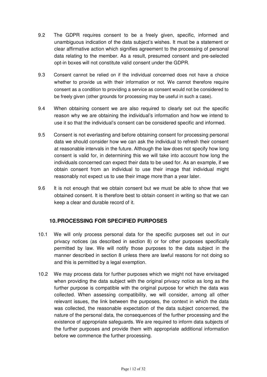- 9.2 The GDPR requires consent to be a freely given, specific, informed and unambiguous indication of the data subject's wishes. It must be a statement or clear affirmative action which signifies agreement to the processing of personal data relating to the member. As a result, presumed consent and pre-selected opt-in boxes will not constitute valid consent under the GDPR.
- 9.3 Consent cannot be relied on if the individual concerned does not have a choice whether to provide us with their information or not. We cannot therefore require consent as a condition to providing a service as consent would not be considered to be freely given (other grounds for processing may be useful in such a case).
- 9.4 When obtaining consent we are also required to clearly set out the specific reason why we are obtaining the individual's information and how we intend to use it so that the individual's consent can be considered specific and informed.
- 9.5 Consent is not everlasting and before obtaining consent for processing personal data we should consider how we can ask the individual to refresh their consent at reasonable intervals in the future. Although the law does not specify how long consent is valid for, in determining this we will take into account how long the individuals concerned can expect their data to be used for. As an example, if we obtain consent from an individual to use their image that individual might reasonably not expect us to use their image more than a year later.
- 9.6 It is not enough that we obtain consent but we must be able to show that we obtained consent. It is therefore best to obtain consent in writing so that we can keep a clear and durable record of it.

#### **10. PROCESSING FOR SPECIFIED PURPOSES**

- 10.1 We will only process personal data for the specific purposes set out in our privacy notices (as described in section 8) or for other purposes specifically permitted by law. We will notify those purposes to the data subject in the manner described in section 8 unless there are lawful reasons for not doing so and this is permitted by a legal exemption.
- 10.2 We may process data for further purposes which we might not have envisaged when providing the data subject with the original privacy notice as long as the further purpose is compatible with the original purpose for which the data was collected. When assessing compatibility, we will consider, among all other relevant issues, the link between the purposes, the context in which the data was collected, the reasonable expectation of the data subject concerned, the nature of the personal data, the consequences of the further processing and the existence of appropriate safeguards. We are required to inform data subjects of the further purposes and provide them with appropriate additional information before we commence the further processing.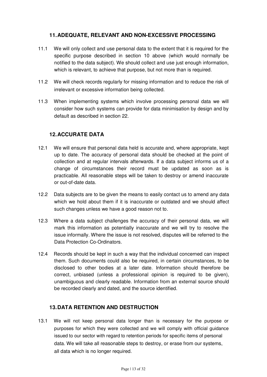#### **11. ADEQUATE, RELEVANT AND NON-EXCESSIVE PROCESSING**

- 11.1 We will only collect and use personal data to the extent that it is required for the specific purpose described in section 10 above (which would normally be notified to the data subject). We should collect and use just enough information, which is relevant, to achieve that purpose, but not more than is required.
- 11.2 We will check records regularly for missing information and to reduce the risk of irrelevant or excessive information being collected.
- 11.3 When implementing systems which involve processing personal data we will consider how such systems can provide for data minimisation by design and by default as described in section 22.

#### **12. ACCURATE DATA**

- 12.1 We will ensure that personal data held is accurate and, where appropriate, kept up to date. The accuracy of personal data should be checked at the point of collection and at regular intervals afterwards. If a data subject informs us of a change of circumstances their record must be updated as soon as is practicable. All reasonable steps will be taken to destroy or amend inaccurate or out-of-date data.
- 12.2 Data subjects are to be given the means to easily contact us to amend any data which we hold about them if it is inaccurate or outdated and we should affect such changes unless we have a good reason not to.
- 12.3 Where a data subject challenges the accuracy of their personal data, we will mark this information as potentially inaccurate and we will try to resolve the issue informally. Where the issue is not resolved, disputes will be referred to the Data Protection Co-Ordinators.
- 12.4 Records should be kept in such a way that the individual concerned can inspect them. Such documents could also be required, in certain circumstances, to be disclosed to other bodies at a later date. Information should therefore be correct, unbiased (unless a professional opinion is required to be given), unambiguous and clearly readable. Information from an external source should be recorded clearly and dated, and the source identified.

#### **13. DATA RETENTION AND DESTRUCTION**

13.1 We will not keep personal data longer than is necessary for the purpose or purposes for which they were collected and we will comply with official guidance issued to our sector with regard to retention periods for specific items of personal data. We will take all reasonable steps to destroy, or erase from our systems, all data which is no longer required.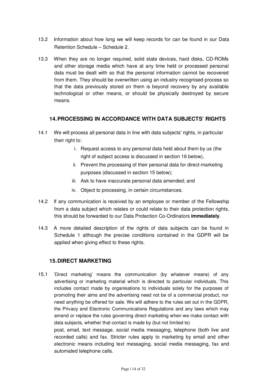- 13.2 Information about how long we will keep records for can be found in our Data Retention Schedule – Schedule 2.
- 13.3 When they are no longer required, solid state devices, hard disks, CD-ROMs and other storage media which have at any time held or processed personal data must be dealt with so that the personal information cannot be recovered from them. They should be overwritten using an industry recognised process so that the data previously stored on them is beyond recovery by any available technological or other means, or should be physically destroyed by secure means.

#### **14. PROCESSING IN ACCORDANCE WITH DATA SUBJECTS' RIGHTS**

- 14.1 We will process all personal data in line with data subjects' rights, in particular their right to:
	- i. Request access to any personal data held about them by us (the right of subject access is discussed in section 16 below),
	- ii. Prevent the processing of their personal data for direct-marketing purposes (discussed in section 15 below);
	- iii. Ask to have inaccurate personal data amended; and
	- iv. Object to processing, in certain circumstances.
- 14.2 If any communication is received by an employee or member of the Fellowship from a data subject which relates or could relate to their data protection rights, this should be forwarded to our Data Protection Co-Ordinators **immediately**.
- 14.3 A more detailed description of the rights of data subiects can be found in Schedule 1 although the precise conditions contained in the GDPR will be applied when giving effect to these rights.

#### **15. DIRECT MARKETING**

15.1 'Direct marketing' means the communication (by whatever means) of any advertising or marketing material which is directed to particular individuals. This includes contact made by organisations to individuals solely for the purposes of promoting their aims and the advertising need not be of a commercial product, nor need anything be offered for sale. We will adhere to the rules set out in the GDPR, the Privacy and Electronic Communications Regulations and any laws which may amend or replace the rules governing direct marketing when we make contact with data subjects, whether that contact is made by (but not limited to) post, email, text message, social media messaging, telephone (both live and recorded calls) and fax. Stricter rules apply to marketing by email and other electronic means including text messaging, social media messaging, fax and automated telephone calls.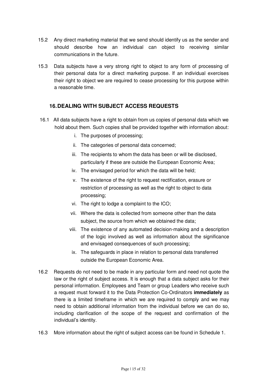- 15.2 Any direct marketing material that we send should identify us as the sender and should describe how an individual can object to receiving similar communications in the future.
- 15.3 Data subjects have a very strong right to object to any form of processing of their personal data for a direct marketing purpose. If an individual exercises their right to object we are required to cease processing for this purpose within a reasonable time.

#### **16. DEALING WITH SUBJECT ACCESS REQUESTS**

- 16.1 All data subjects have a right to obtain from us copies of personal data which we hold about them. Such copies shall be provided together with information about:
	- i. The purposes of processing;
	- ii. The categories of personal data concerned;
	- iii. The recipients to whom the data has been or will be disclosed, particularly if these are outside the European Economic Area;
	- iv. The envisaged period for which the data will be held;
	- v. The existence of the right to request rectification, erasure or restriction of processing as well as the right to object to data processing;
	- vi. The right to lodge a complaint to the ICO;
	- vii. Where the data is collected from someone other than the data subject, the source from which we obtained the data;
	- viii. The existence of any automated decision-making and a description of the logic involved as well as information about the significance and envisaged consequences of such processing;
	- ix. The safeguards in place in relation to personal data transferred outside the European Economic Area.
- 16.2 Requests do not need to be made in any particular form and need not quote the law or the right of subject access. It is enough that a data subject asks for their personal information. Employees and Team or group Leaders who receive such a request must forward it to the Data Protection Co-Ordinators **immediately** as there is a limited timeframe in which we are required to comply and we may need to obtain additional information from the individual before we can do so, including clarification of the scope of the request and confirmation of the individual's identity.
- 16.3 More information about the right of subject access can be found in Schedule 1.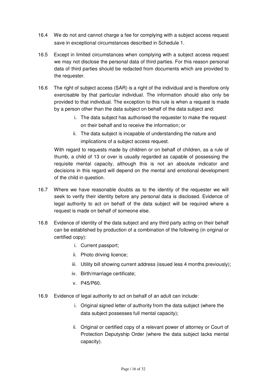- 16.4 We do not and cannot charge a fee for complying with a subject access request save in exceptional circumstances described in Schedule 1.
- 16.5 Except in limited circumstances when complying with a subject access request we may not disclose the personal data of third parties. For this reason personal data of third parties should be redacted from documents which are provided to the requester.
- 16.6 The right of subject access (SAR) is a right of the individual and is therefore only exercisable by that particular individual. The information should also only be provided to that individual. The exception to this rule is when a request is made by a person other than the data subject on behalf of the data subject and:
	- i. The data subject has authorised the requester to make the request on their behalf and to receive the information; or
	- ii. The data subject is incapable of understanding the nature and implications of a subject access request.

With regard to requests made by children or on behalf of children, as a rule of thumb, a child of 13 or over is usually regarded as capable of possessing the requisite mental capacity, although this is not an absolute indicator and decisions in this regard will depend on the mental and emotional development of the child in question.

- 16.7 Where we have reasonable doubts as to the identity of the requester we will seek to verify their identity before any personal data is disclosed. Evidence of legal authority to act on behalf of the data subject will be required where a request is made on behalf of someone else.
- 16.8 Evidence of identity of the data subject and any third party acting on their behalf can be established by production of a combination of the following (in original or certified copy):
	- i. Current passport;
	- ii. Photo driving licence;
	- iii. Utility bill showing current address (issued less 4 months previously);
	- iv. Birth/marriage certificate;
	- v. P45/P60.
- 16.9 Evidence of legal authority to act on behalf of an adult can include:
	- i. Original signed letter of authority from the data subject (where the data subject possesses full mental capacity);
	- ii. Original or certified copy of a relevant power of attorney or Court of Protection Deputyship Order (where the data subject lacks mental capacity).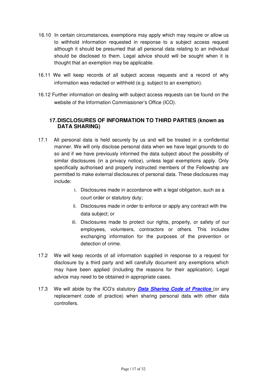- 16.10 In certain circumstances, exemptions may apply which may require or allow us to withhold information requested in response to a subject access request although it should be presumed that all personal data relating to an individual should be disclosed to them. Legal advice should will be sought when it is thought that an exemption may be applicable.
- 16.11 We will keep records of all subject access requests and a record of why information was redacted or withheld (e.g. subject to an exemption).
- 16.12 Further information on dealing with subject access requests can be found on the website of the Information Commissioner's Office (ICO).

#### **17. DISCLOSURES OF INFORMATION TO THIRD PARTIES (known as DATA SHARING)**

- 17.1 All personal data is held securely by us and will be treated in a confidential manner. We will only disclose personal data when we have legal grounds to do so and if we have previously informed the data subject about the possibility of similar disclosures (in a privacy notice), unless legal exemptions apply. Only specifically authorised and properly instructed members of the Fellowship are permitted to make external disclosures of personal data. These disclosures may include:
	- i. Disclosures made in accordance with a legal obligation, such as a court order or statutory duty;
	- ii. Disclosures made in order to enforce or apply any contract with the data subject; or
	- iii. Disclosures made to protect our rights, property, or safety of our employees, volunteers, contractors or others. This includes exchanging information for the purposes of the prevention or detection of crime.
- 17.2 We will keep records of all information supplied in response to a request for disclosure by a third party and will carefully document any exemptions which may have been applied (including the reasons for their application). Legal advice may need to be obtained in appropriate cases.
- 17.3 We will abide by the ICO's statutory **Data Sharing Code of Practice** (or any replacement code of practice) when sharing personal data with other data controllers.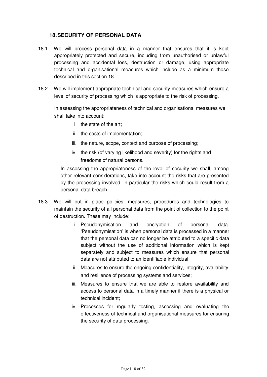#### **18. SECURITY OF PERSONAL DATA**

- 18.1 We will process personal data in a manner that ensures that it is kept appropriately protected and secure, including from unauthorised or unlawful processing and accidental loss, destruction or damage, using appropriate technical and organisational measures which include as a minimum those described in this section 18.
- 18.2 We will implement appropriate technical and security measures which ensure a level of security of processing which is appropriate to the risk of processing.

In assessing the appropriateness of technical and organisational measures we shall take into account:

- i. the state of the art;
- ii. the costs of implementation;
- iii. the nature, scope, context and purpose of processing;
- iv. the risk (of varying likelihood and severity) for the rights and freedoms of natural persons.

In assessing the appropriateness of the level of security we shall, among other relevant considerations, take into account the risks that are presented by the processing involved, in particular the risks which could result from a personal data breach.

- 18.3 We will put in place policies, measures, procedures and technologies to maintain the security of all personal data from the point of collection to the point of destruction. These may include:
	- i. Pseudonymisation and encryption of personal data. 'Pseudonymisation' is when personal data is processed in a manner that the personal data can no longer be attributed to a specific data subject without the use of additional information which is kept separately and subject to measures which ensure that personal data are not attributed to an identifiable individual;
	- ii. Measures to ensure the ongoing confidentiality, integrity, availability and resilience of processing systems and services;
	- iii. Measures to ensure that we are able to restore availability and access to personal data in a timely manner if there is a physical or technical incident;
	- iv. Processes for regularly testing, assessing and evaluating the effectiveness of technical and organisational measures for ensuring the security of data processing.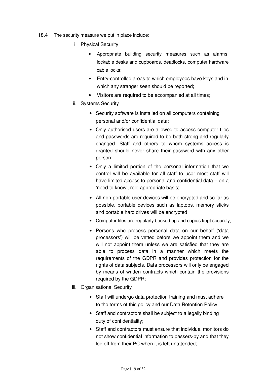- 18.4 The security measure we put in place include:
	- i. Physical Security
		- Appropriate building security measures such as alarms, lockable desks and cupboards, deadlocks, computer hardware cable locks;
		- Entry-controlled areas to which employees have keys and in which any stranger seen should be reported;
		- Visitors are required to be accompanied at all times;
	- ii. Systems Security
		- Security software is installed on all computers containing personal and/or confidential data;
		- Only authorised users are allowed to access computer files and passwords are required to be both strong and regularly changed. Staff and others to whom systems access is granted should never share their password with any other person;
		- Only a limited portion of the personal information that we control will be available for all staff to use: most staff will have limited access to personal and confidential data – on a 'need to know', role-appropriate basis;
		- All non-portable user devices will be encrypted and so far as possible, portable devices such as laptops, memory sticks and portable hard drives will be encrypted;
		- Computer files are regularly backed up and copies kept securely;
		- Persons who process personal data on our behalf ('data processors') will be vetted before we appoint them and we will not appoint them unless we are satisfied that they are able to process data in a manner which meets the requirements of the GDPR and provides protection for the rights of data subjects. Data processors will only be engaged by means of written contracts which contain the provisions required by the GDPR;
	- iii. Organisational Security
		- Staff will undergo data protection training and must adhere to the terms of this policy and our Data Retention Policy
		- Staff and contractors shall be subject to a legally binding duty of confidentiality;
		- Staff and contractors must ensure that individual monitors do not show confidential information to passers-by and that they log off from their PC when it is left unattended;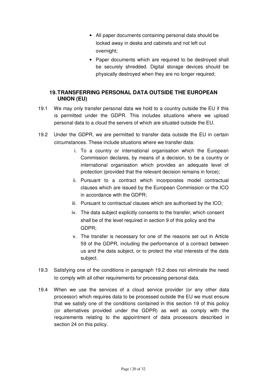- All paper documents containing personal data should be locked away in desks and cabinets and not left out overnight;
- Paper documents which are required to be destroyed shall be securely shredded. Digital storage devices should be physically destroyed when they are no longer required;

### **19. TRANSFERRING PERSONAL DATA OUTSIDE THE EUROPEAN UNION (EU)**

- 19.1 We may only transfer personal data we hold to a country outside the EU if this is permitted under the GDPR. This includes situations where we upload personal data to a cloud the servers of which are situated outside the EU.
- 19.2 Under the GDPR, we are permitted to transfer data outside the EU in certain circumstances. These include situations where we transfer data:
	- i. To a country or international organisation which the European Commission declares, by means of a decision, to be a country or international organisation which provides an adequate level of protection (provided that the relevant decision remains in force);
	- ii. Pursuant to a contract which incorporates model contractual clauses which are issued by the European Commission or the ICO in accordance with the GDPR;
	- iii. Pursuant to contractual clauses which are authorised by the ICO;
	- iv. The data subject explicitly consents to the transfer, which consent shall be of the level required in section 9 of this policy and the GDPR;
	- v. The transfer is necessary for one of the reasons set out in Article 59 of the GDPR, including the performance of a contract between us and the data subject, or to protect the vital interests of the data subject.
- 19.3 Satisfying one of the conditions in paragraph 19.2 does not eliminate the need to comply with all other requirements for processing personal data.
- 19.4 When we use the services of a cloud service provider (or any other data processor) which requires data to be processed outside the EU we must ensure that we satisfy one of the conditions contained in this section 19 of this policy (or alternatives provided under the GDPR) as well as comply with the requirements relating to the appointment of data processors described in section 24 on this policy.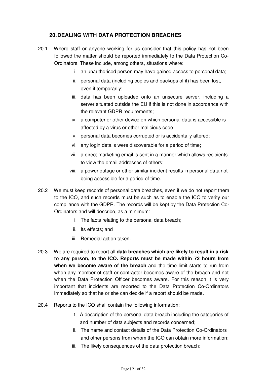#### **20. DEALING WITH DATA PROTECTION BREACHES**

- 20.1 Where staff or anyone working for us consider that this policy has not been followed the matter should be reported immediately to the Data Protection Co-Ordinators. These include, among others, situations where:
	- i. an unauthorised person may have gained access to personal data;
	- ii. personal data (including copies and backups of it) has been lost, even if temporarily;
	- iii. data has been uploaded onto an unsecure server, including a server situated outside the EU if this is not done in accordance with the relevant GDPR requirements:
	- iv. a computer or other device on which personal data is accessible is affected by a virus or other malicious code;
	- v. personal data becomes corrupted or is accidentally altered;
	- vi. any login details were discoverable for a period of time;
	- vii. a direct marketing email is sent in a manner which allows recipients to view the email addresses of others;
	- viii. a power outage or other similar incident results in personal data not being accessible for a period of time.
- 20.2 We must keep records of personal data breaches, even if we do not report them to the ICO, and such records must be such as to enable the ICO to verity our compliance with the GDPR. The records will be kept by the Data Protection Co-Ordinators and will describe, as a minimum:
	- i. The facts relating to the personal data breach;
	- ii. Its effects; and
	- iii. Remedial action taken.
- 20.3 We are required to report all **data breaches which are likely to result in a risk to any person, to the ICO. Reports must be made within 72 hours from when we become aware of the breach** and the time limit starts to run from when any member of staff or contractor becomes aware of the breach and not when the Data Protection Officer becomes aware. For this reason it is very important that incidents are reported to the Data Protection Co-Ordinators immediately so that he or she can decide if a report should be made.
- 20.4 Reports to the ICO shall contain the following information:
	- 1. A description of the personal data breach including the categories of and number of data subjects and records concerned;
	- ii. The name and contact details of the Data Protection Co-Ordinators and other persons from whom the ICO can obtain more information;
	- iii. The likely consequences of the data protection breach;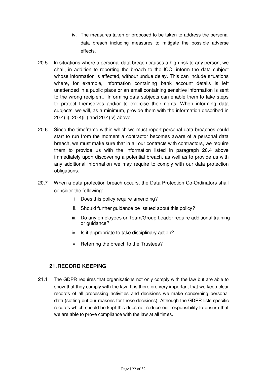- iv. The measures taken or proposed to be taken to address the personal data breach including measures to mitigate the possible adverse effects.
- 20.5 In situations where a personal data breach causes a high risk to any person, we shall, in addition to reporting the breach to the ICO, inform the data subject whose information is affected, without undue delay. This can include situations where, for example, information containing bank account details is left unattended in a public place or an email containing sensitive information is sent to the wrong recipient. Informing data subjects can enable them to take steps to protect themselves and/or to exercise their rights. When informing data subjects, we will, as a minimum, provide them with the information described in 20.4(ii), 20.4(iii) and 20.4(iv) above.
- 20.6 Since the timeframe within which we must report personal data breaches could start to run from the moment a contractor becomes aware of a personal data breach, we must make sure that in all our contracts with contractors, we require them to provide us with the information listed in paragraph 20.4 above immediately upon discovering a potential breach, as well as to provide us with any additional information we may require to comply with our data protection obligations.
- 20.7 When a data protection breach occurs, the Data Protection Co-Ordinators shall consider the following:
	- i. Does this policy require amending?
	- ii. Should further guidance be issued about this policy?
	- iii. Do any employees or Team/Group Leader require additional training or guidance?
	- iv. Is it appropriate to take disciplinary action?
	- v. Referring the breach to the Trustees?

#### **21. RECORD KEEPING**

21.1 The GDPR requires that organisations not only comply with the law but are able to show that they comply with the law. It is therefore very important that we keep clear records of all processing activities and decisions we make concerning personal data (setting out our reasons for those decisions). Although the GDPR lists specific records which should be kept this does not reduce our responsibility to ensure that we are able to prove compliance with the law at all times.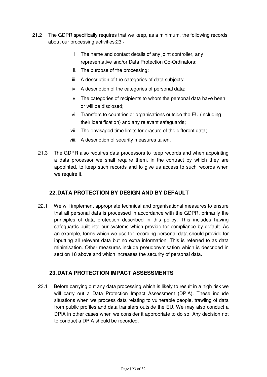- 21.2 The GDPR specifically requires that we keep, as a minimum, the following records about our processing activities:23
	- i. The name and contact details of any joint controller, any representative and/or Data Protection Co-Ordinators;
	- ii. The purpose of the processing;
	- iii. A description of the categories of data subjects;
	- iv. A description of the categories of personal data;
	- v. The categories of recipients to whom the personal data have been or will be disclosed;
	- vi. Transfers to countries or organisations outside the EU (including their identification) and any relevant safeguards;
	- vii. The envisaged time limits for erasure of the different data;
	- viii. A description of security measures taken.
	- 21.3 The GDPR also requires data processors to keep records and when appointing a data processor we shall require them, in the contract by which they are appointed, to keep such records and to give us access to such records when we require it.

#### **22. DATA PROTECTION BY DESIGN AND BY DEFAULT**

22.1 We will implement appropriate technical and organisational measures to ensure that all personal data is processed in accordance with the GDPR, primarily the principles of data protection described in this policy. This includes having safeguards built into our systems which provide for compliance by default. As an example, forms which we use for recording personal data should provide for inputting all relevant data but no extra information. This is referred to as data minimisation. Other measures include pseudonymisation which is described in section 18 above and which increases the security of personal data.

#### **23. DATA PROTECTION IMPACT ASSESSMENTS**

23.1 Before carrying out any data processing which is likely to result in a high risk we will carry out a Data Protection Impact Assessment (DPIA). These include situations when we process data relating to vulnerable people, trawling of data from public profiles and data transfers outside the EU. We may also conduct a DPIA in other cases when we consider it appropriate to do so. Any decision not to conduct a DPIA should be recorded.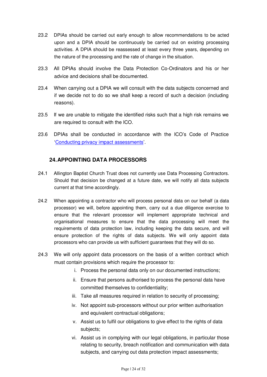- 23.2 DPIAs should be carried out early enough to allow recommendations to be acted upon and a DPIA should be continuously be carried out on existing processing activities. A DPIA should be reassessed at least every three years, depending on the nature of the processing and the rate of change in the situation.
- 23.3 All DPIAs should involve the Data Protection Co-Ordinators and his or her advice and decisions shall be documented.
- 23.4 When carrying out a DPIA we will consult with the data subjects concerned and if we decide not to do so we shall keep a record of such a decision (including reasons).
- 23.5 If we are unable to mitigate the identified risks such that a high risk remains we are required to consult with the ICO.
- 23.6 DPIAs shall be conducted in accordance with the ICO's Code of Practice 'Conducting privacy impact assessments'.

# **24. APPOINTING DATA PROCESSORS**

- 24.1 Allington Baptist Church Trust does not currently use Data Processing Contractors. Should that decision be changed at a future date, we will notify all data subjects current at that time accordingly.
- 24.2 When appointing a contractor who will process personal data on our behalf (a data processor) we will, before appointing them, carry out a due diligence exercise to ensure that the relevant processor will implement appropriate technical and organisational measures to ensure that the data processing will meet the requirements of data protection law, including keeping the data secure, and will ensure protection of the rights of data subjects. We will only appoint data processors who can provide us with sufficient guarantees that they will do so.
- 24.3 We will only appoint data processors on the basis of a written contract which must contain provisions which require the processor to:
	- i. Process the personal data only on our documented instructions;
	- ii. Ensure that persons authorised to process the personal data have committed themselves to confidentiality;
	- iii. Take all measures required in relation to security of processing;
	- iv. Not appoint sub-processors without our prior written authorisation and equivalent contractual obligations;
	- v. Assist us to fulfil our obligations to give effect to the rights of data subjects;
	- vi. Assist us in complying with our legal obligations, in particular those relating to security, breach notification and communication with data subjects, and carrying out data protection impact assessments;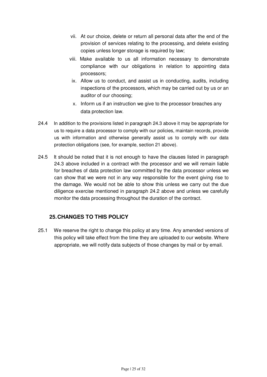- vii. At our choice, delete or return all personal data after the end of the provision of services relating to the processing, and delete existing copies unless longer storage is required by law;
- viii. Make available to us all information necessary to demonstrate compliance with our obligations in relation to appointing data processors;
- ix. Allow us to conduct, and assist us in conducting, audits, including inspections of the processors, which may be carried out by us or an auditor of our choosing;
- x. Inform us if an instruction we give to the processor breaches any data protection law.
- 24.4 In addition to the provisions listed in paragraph 24.3 above it may be appropriate for us to require a data processor to comply with our policies, maintain records, provide us with information and otherwise generally assist us to comply with our data protection obligations (see, for example, section 21 above).
- 24.5 It should be noted that it is not enough to have the clauses listed in paragraph 24.3 above included in a contract with the processor and we will remain liable for breaches of data protection law committed by the data processor unless we can show that we were not in any way responsible for the event giving rise to the damage. We would not be able to show this unless we carry out the due diligence exercise mentioned in paragraph 24.2 above and unless we carefully monitor the data processing throughout the duration of the contract.

# **25. CHANGES TO THIS POLICY**

25.1 We reserve the right to change this policy at any time. Any amended versions of this policy will take effect from the time they are uploaded to our website. Where appropriate, we will notify data subjects of those changes by mail or by email.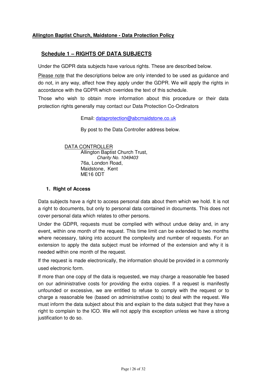#### **Allington Baptist Church, Maidstone - Data Protection Policy**

#### **Schedule 1 – RIGHTS OF DATA SUBJECTS**

Under the GDPR data subjects have various rights. These are described below.

Please note that the descriptions below are only intended to be used as guidance and do not, in any way, affect how they apply under the GDPR. We will apply the rights in accordance with the GDPR which overrides the text of this schedule.

Those who wish to obtain more information about this procedure or their data protection rights generally may contact our Data Protection Co-Ordinators

Email: dataprotection@abcmaidstone.co.uk

By post to the Data Controller address below.

#### DATA CONTROLLER

 Allington Baptist Church Trust, Charity No. 1049403 76a, London Road, Maidstone, Kent ME16 0DT

#### **1. Right of Access**

Data subjects have a right to access personal data about them which we hold. It is not a right to documents, but only to personal data contained in documents. This does not cover personal data which relates to other persons.

Under the GDPR, requests must be complied with without undue delay and, in any event, within one month of the request. This time limit can be extended to two months where necessary, taking into account the complexity and number of requests. For an extension to apply the data subject must be informed of the extension and why it is needed within one month of the request.

If the request is made electronically, the information should be provided in a commonly used electronic form.

If more than one copy of the data is requested, we may charge a reasonable fee based on our administrative costs for providing the extra copies. If a request is manifestly unfounded or excessive, we are entitled to refuse to comply with the request or to charge a reasonable fee (based on administrative costs) to deal with the request. We must inform the data subject about this and explain to the data subject that they have a right to complain to the ICO. We will not apply this exception unless we have a strong justification to do so.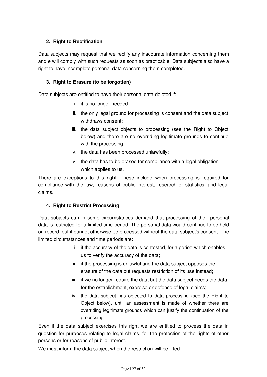#### **2. Right to Rectification**

Data subjects may request that we rectify any inaccurate information concerning them and e will comply with such requests as soon as practicable. Data subjects also have a right to have incomplete personal data concerning them completed.

#### **3. Right to Erasure (to be forgotten)**

Data subjects are entitled to have their personal data deleted if:

- i. it is no longer needed;
- ii. the only legal ground for processing is consent and the data subject withdraws consent;
- iii. the data subject objects to processing (see the Right to Object below) and there are no overriding legitimate grounds to continue with the processing;
- iv. the data has been processed unlawfully;
- v. the data has to be erased for compliance with a legal obligation which applies to us.

There are exceptions to this right. These include when processing is required for compliance with the law, reasons of public interest, research or statistics, and legal claims.

#### **4. Right to Restrict Processing**

Data subjects can in some circumstances demand that processing of their personal data is restricted for a limited time period. The personal data would continue to be held on record, but it cannot otherwise be processed without the data subject's consent. The limited circumstances and time periods are:

- i. if the accuracy of the data is contested, for a period which enables us to verify the accuracy of the data;
- ii. if the processing is unlawful and the data subject opposes the erasure of the data but requests restriction of its use instead;
- iii. if we no longer require the data but the data subject needs the data for the establishment, exercise or defence of legal claims;
- iv. the data subject has objected to data processing (see the Right to Object below), until an assessment is made of whether there are overriding legitimate grounds which can justify the continuation of the processing.

Even if the data subject exercises this right we are entitled to process the data in question for purposes relating to legal claims, for the protection of the rights of other persons or for reasons of public interest.

We must inform the data subject when the restriction will be lifted.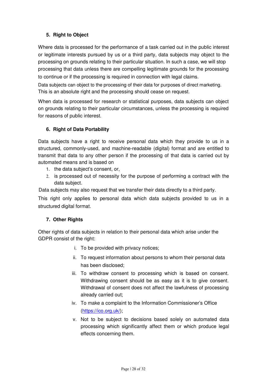#### **5. Right to Object**

Where data is processed for the performance of a task carried out in the public interest or legitimate interests pursued by us or a third party, data subjects may object to the processing on grounds relating to their particular situation. In such a case, we will stop processing that data unless there are compelling legitimate grounds for the processing to continue or if the processing is required in connection with legal claims.

Data subjects can object to the processing of their data for purposes of direct marketing. This is an absolute right and the processing should cease on request.

When data is processed for research or statistical purposes, data subjects can object on grounds relating to their particular circumstances, unless the processing is required for reasons of public interest.

# **6. Right of Data Portability**

Data subjects have a right to receive personal data which they provide to us in a structured, commonly-used, and machine-readable (digital) format and are entitled to transmit that data to any other person if the processing of that data is carried out by automated means and is based on

- 1. the data subject's consent, or,
- 2. is processed out of necessity for the purpose of performing a contract with the data subject.

Data subjects may also request that we transfer their data directly to a third party.

This right only applies to personal data which data subjects provided to us in a structured digital format.

#### **7. Other Rights**

Other rights of data subjects in relation to their personal data which arise under the GDPR consist of the right:

- i. To be provided with privacy notices;
- ii. To request information about persons to whom their personal data has been disclosed;
- iii. To withdraw consent to processing which is based on consent. Withdrawing consent should be as easy as it is to give consent. Withdrawal of consent does not affect the lawfulness of processing already carried out;
- iv. To make a complaint to the Information Commissioner's Office (https://ico.org.uk/);
- v. Not to be subject to decisions based solely on automated data processing which significantly affect them or which produce legal effects concerning them.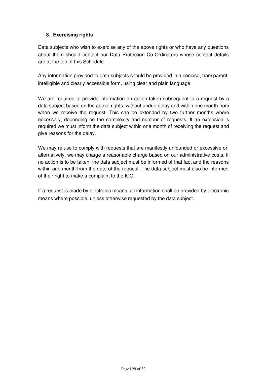#### **8. Exercising rights**

Data subjects who wish to exercise any of the above rights or who have any questions about them should contact our Data Protection Co-Ordinators whose contact details are at the top of this Schedule.

Any information provided to data subjects should be provided in a concise, transparent, intelligible and clearly accessible form, using clear and plain language.

We are required to provide information on action taken subsequent to a request by a data subject based on the above rights, without undue delay and within one month from when we receive the request. This can be extended by two further months where necessary, depending on the complexity and number of requests. If an extension is required we must inform the data subject within one month of receiving the request and give reasons for the delay.

We may refuse to comply with requests that are manifestly unfounded or excessive or, alternatively, we may charge a reasonable charge based on our administrative costs. If no action is to be taken, the data subject must be informed of that fact and the reasons within one month from the date of the request. The data subject must also be informed of their right to make a complaint to the ICO.

If a request is made by electronic means, all information shall be provided by electronic means where possible, unless otherwise requested by the data subject.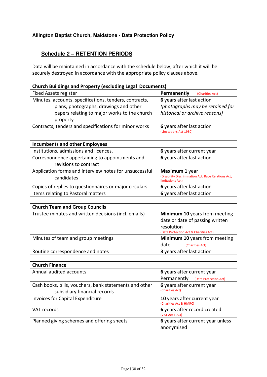#### **Allington Baptist Church, Maidstone - Data Protection Policy**

# **Schedule 2 – RETENTION PERIODS**

Data will be maintained in accordance with the schedule below, after which it will be securely destroyed in accordance with the appropriate policy clauses above.

| <b>Church Buildings and Property (excluding Legal Documents)</b>         |                                                                         |  |  |  |
|--------------------------------------------------------------------------|-------------------------------------------------------------------------|--|--|--|
| <b>Fixed Assets register</b>                                             | Permanently<br>(Charities Act)                                          |  |  |  |
| Minutes, accounts, specifications, tenders, contracts,                   | 6 years after last action                                               |  |  |  |
| plans, photographs, drawings and other                                   | (photographs may be retained for                                        |  |  |  |
| papers relating to major works to the church                             | historical or archive reasons)                                          |  |  |  |
| property                                                                 |                                                                         |  |  |  |
| Contracts, tenders and specifications for minor works                    | 6 years after last action<br>(Limitations Act 1980)                     |  |  |  |
|                                                                          |                                                                         |  |  |  |
| <b>Incumbents and other Employees</b>                                    |                                                                         |  |  |  |
| Institutions, admissions and licences.                                   | 6 years after current year                                              |  |  |  |
| Correspondence appertaining to appointments and<br>revisions to contract | 6 years after last action                                               |  |  |  |
| Application forms and interview notes for unsuccessful                   | Maximum 1 year                                                          |  |  |  |
| candidates                                                               | (Disability Discrimination Act, Race Relations Act,<br>limitations Act) |  |  |  |
| Copies of replies to questionnaires or major circulars                   | 6 years after last action                                               |  |  |  |
| Items relating to Pastoral matters                                       | 6 years after last action                                               |  |  |  |
|                                                                          |                                                                         |  |  |  |
| <b>Church Team and Group Councils</b>                                    |                                                                         |  |  |  |
| Trustee minutes and written decisions (incl. emails)                     | Minimum 10 years from meeting                                           |  |  |  |
|                                                                          | date or date of passing written                                         |  |  |  |
|                                                                          | resolution                                                              |  |  |  |
|                                                                          | (Data Protection Act & Charities Act)                                   |  |  |  |
| Minutes of team and group meetings                                       | Minimum 10 years from meeting                                           |  |  |  |
|                                                                          | date<br>(Charities Act)                                                 |  |  |  |
| Routine correspondence and notes                                         | 3 years after last action                                               |  |  |  |
|                                                                          |                                                                         |  |  |  |
| <b>Church Finance</b>                                                    |                                                                         |  |  |  |
| Annual audited accounts                                                  | 6 years after current year                                              |  |  |  |
|                                                                          | Permanently<br>(Data Protection Act)                                    |  |  |  |
| Cash books, bills, vouchers, bank statements and other                   | 6 years after current year<br>(Charities Act)                           |  |  |  |
| subsidiary financial records                                             |                                                                         |  |  |  |
| <b>Invoices for Capital Expenditure</b>                                  | 10 years after current year<br>(Charities Act & HMRC)                   |  |  |  |
| VAT records                                                              | 6 years after record created<br>(VAT Act 1994)                          |  |  |  |
| Planned giving schemes and offering sheets                               | 6 years after current year unless                                       |  |  |  |
|                                                                          | anonymised                                                              |  |  |  |
|                                                                          |                                                                         |  |  |  |
|                                                                          |                                                                         |  |  |  |
|                                                                          |                                                                         |  |  |  |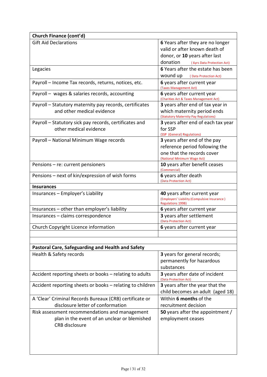| Church Finance (cont'd)                                                                      |                                                                          |
|----------------------------------------------------------------------------------------------|--------------------------------------------------------------------------|
| <b>Gift Aid Declarations</b>                                                                 | 6 Years after they are no longer                                         |
|                                                                                              | valid or after known death of                                            |
|                                                                                              | donor, or 10 years after last                                            |
|                                                                                              | donation<br>(6yrs Data Protection Act)                                   |
| Legacies                                                                                     | 6 Years after the estate has been                                        |
|                                                                                              | <b>WOUND UP</b> (Data Protection Act)                                    |
| Payroll - Income Tax records, returns, notices, etc.                                         | 6 years after current year                                               |
|                                                                                              | (Taxes Management Act)                                                   |
| Payroll - wages & salaries records, accounting                                               | 6 years after current year<br>(Charities Act & Taxes Management Act)     |
| Payroll – Statutory maternity pay records, certificates                                      | <b>3</b> years after end of tax year in                                  |
| and other medical evidence                                                                   | which maternity period ends<br>(Statutory Maternity Pay Regulations)     |
| Payroll – Statutory sick pay records, certificates and                                       | 3 years after end of each tax year                                       |
| other medical evidence                                                                       | for SSP                                                                  |
|                                                                                              | (SSP (General) Regulations)                                              |
| Payroll - National Minimum Wage records                                                      | 3 years after end of the pay                                             |
|                                                                                              | reference period following the                                           |
|                                                                                              | one that the records cover<br>(National Minimum Wage Act)                |
| Pensions - re: current pensioners                                                            | 10 years after benefit ceases                                            |
|                                                                                              | (Commercial)                                                             |
| Pensions – next of kin/expression of wish forms                                              | 6 years after death<br>(Data Protection Act)                             |
| <b>Insurances</b>                                                                            |                                                                          |
| Insurances - Employer's Liability                                                            | 40 years after current year                                              |
|                                                                                              | (Employers' Liability (Compulsive Insurance)<br><b>Regulations 1998)</b> |
|                                                                                              |                                                                          |
| Insurances - other than employer's liability                                                 | 6 years after current year                                               |
| Insurances - claims correspondence                                                           | 3 years after settlement<br>(Data Protection Act)                        |
| Church Copyright Licence information                                                         | 6 years after current year                                               |
|                                                                                              |                                                                          |
|                                                                                              |                                                                          |
| <b>Pastoral Care, Safeguarding and Health and Safety</b>                                     |                                                                          |
| Health & Safety records                                                                      | 3 years for general records;                                             |
|                                                                                              | permanently for hazardous                                                |
|                                                                                              | substances                                                               |
| Accident reporting sheets or books - relating to adults                                      | 3 years after date of incident<br>(Data Protection Act)                  |
| Accident reporting sheets or books – relating to children                                    | 3 years after the year that the                                          |
|                                                                                              | child becomes an adult (aged 18)                                         |
|                                                                                              | Within 6 months of the                                                   |
| A 'Clear' Criminal Records Bureaux (CRB) certificate or<br>disclosure letter of conformation | recruitment decision                                                     |
|                                                                                              |                                                                          |
| Risk assessment recommendations and management                                               | <b>50</b> years after the appointment /                                  |
| plan in the event of an unclear or blemished<br><b>CRB</b> disclosure                        | employment ceases                                                        |
|                                                                                              |                                                                          |
|                                                                                              |                                                                          |
|                                                                                              |                                                                          |